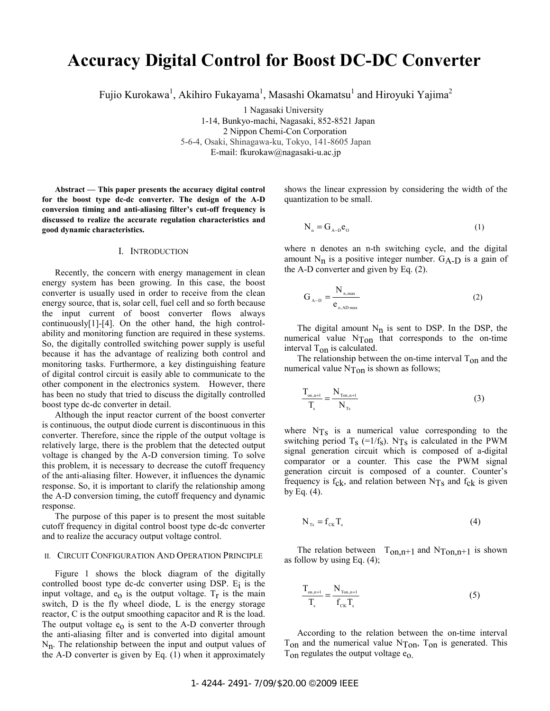# **Accuracy Digital Control for Boost DC-DC Converter**

Fujio Kurokawa<sup>1</sup>, Akihiro Fukayama<sup>1</sup>, Masashi Okamatsu<sup>1</sup> and Hiroyuki Yajima<sup>2</sup>

1 Nagasaki University 1-14, Bunkyo-machi, Nagasaki, 852-8521 Japan 2 Nippon Chemi-Con Corporation 5-6-4, Osaki, Shinagawa-ku, Tokyo, 141-8605 Japan E-mail: fkurokaw@nagasaki-u.ac.jp

**Abstract — This paper presents the accuracy digital control for the boost type dc-dc converter. The design of the A-D conversion timing and anti-aliasing filter's cut-off frequency is discussed to realize the accurate regulation characteristics and good dynamic characteristics.** 

### I. INTRODUCTION

Recently, the concern with energy management in clean energy system has been growing. In this case, the boost converter is usually used in order to receive from the clean energy source, that is, solar cell, fuel cell and so forth because the input current of boost converter flows always continuously[1]-[4]. On the other hand, the high controlability and monitoring function are required in these systems. So, the digitally controlled switching power supply is useful because it has the advantage of realizing both control and monitoring tasks. Furthermore, a key distinguishing feature of digital control circuit is easily able to communicate to the other component in the electronics system. However, there has been no study that tried to discuss the digitally controlled boost type dc-dc converter in detail.

Although the input reactor current of the boost converter is continuous, the output diode current is discontinuous in this converter. Therefore, since the ripple of the output voltage is relatively large, there is the problem that the detected output voltage is changed by the A-D conversion timing. To solve this problem, it is necessary to decrease the cutoff frequency of the anti-aliasing filter. However, it influences the dynamic response. So, it is important to clarify the relationship among the A-D conversion timing, the cutoff frequency and dynamic response.

The purpose of this paper is to present the most suitable cutoff frequency in digital control boost type dc-dc converter and to realize the accuracy output voltage control.

# II. CIRCUIT CONFIGURATION AND OPERATION PRINCIPLE

Figure 1 shows the block diagram of the digitally controlled boost type dc-dc converter using DSP.  $E_i$  is the input voltage, and  $e_0$  is the output voltage.  $T_r$  is the main switch, D is the fly wheel diode, L is the energy storage reactor, C is the output smoothing capacitor and R is the load. The output voltage  $e_0$  is sent to the A-D converter through the anti-aliasing filter and is converted into digital amount  $N_n$ . The relationship between the input and output values of the A-D converter is given by Eq. (1) when it approximately

shows the linear expression by considering the width of the quantization to be small.

$$
N_n = G_{A-D} e_0 \tag{1}
$$

where n denotes an n-th switching cycle, and the digital amount  $N_n$  is a positive integer number.  $G_{A-D}$  is a gain of the A-D converter and given by Eq. (2).

$$
G_{A-D} = \frac{N_{n,\text{max}}}{e_{o,AD\text{ max}}}
$$
 (2)

The digital amount  $N_n$  is sent to DSP. In the DSP, the numerical value  $N_{\text{Top}}$  that corresponds to the on-time interval  $T_{on}$  is calculated.

The relationship between the on-time interval  $T_{on}$  and the numerical value  $N_{\text{Top}}$  is shown as follows;

$$
\frac{T_{\text{on,n+1}}}{T_s} = \frac{N_{\text{Ton,n+1}}}{N_{\text{Ts}}}
$$
\n(3)

where  $N_{\text{Ts}}$  is a numerical value corresponding to the switching period  $T_s$  (=1/f<sub>s</sub>). N<sub>Ts</sub> is calculated in the PWM signal generation circuit which is composed of a-digital comparator or a counter. This case the PWM signal generation circuit is composed of a counter. Counter's frequency is  $f_{ck}$ , and relation between N<sub>Ts</sub> and  $f_{ck}$  is given by Eq.  $(4)$ .

$$
N_{\rm Ts} = f_{\rm CK} T_{\rm s} \tag{4}
$$

The relation between  $T_{on,n+1}$  and  $N_{\text{Top,n+1}}$  is shown as follow by using Eq. (4);

$$
\frac{T_{\text{on,n+1}}}{T_s} = \frac{N_{\text{Top,n+1}}}{f_{\text{CK}} T_s}
$$
\n(5)

According to the relation between the on-time interval  $T_{on}$  and the numerical value  $N_{Ton}$ ,  $T_{on}$  is generated. This  $T_{on}$  regulates the output voltage  $e_0$ .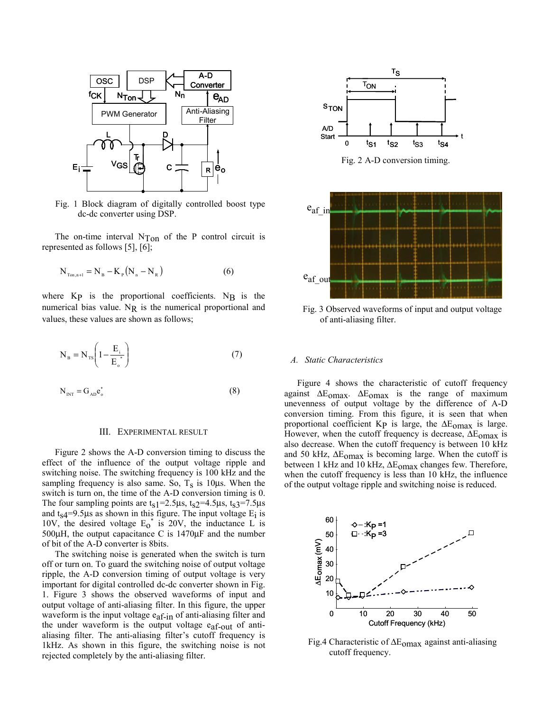

Fig. 1 Block diagram of digitally controlled boost type dc-dc converter using DSP.

The on-time interval  $N_{\text{Top}}$  of the P control circuit is represented as follows [5], [6];

$$
N_{\text{ToR},n+1} = N_{B} - K_{p} (N_{n} - N_{R})
$$
 (6)

where  $Kp$  is the proportional coefficients. NB is the numerical bias value.  $N_R$  is the numerical proportional and values, these values are shown as follows;

$$
N_{B} = N_{TS} \left( 1 - \frac{E_{i}}{E_{o}^{*}} \right)
$$
 (7)

$$
N_{INT} = G_{AD} e_{o}^{*}
$$
 (8)

# III. EXPERIMENTAL RESULT

Figure 2 shows the A-D conversion timing to discuss the effect of the influence of the output voltage ripple and switching noise. The switching frequency is 100 kHz and the sampling frequency is also same. So,  $T_s$  is 10 $\mu$ s. When the switch is turn on, the time of the A-D conversion timing is 0. The four sampling points are  $t<sub>S</sub>1=2.5\mu s$ ,  $t<sub>S</sub>2=4.5\mu s$ ,  $t<sub>S</sub>3=7.5\mu s$ and  $t<sub>S</sub>4=9.5\mu s$  as shown in this figure. The input voltage  $E<sub>i</sub>$  is 10V, the desired voltage  $E_0^*$  is 20V, the inductance L is 500μH, the output capacitance C is 1470μF and the number of bit of the A-D converter is 8bits.

The switching noise is generated when the switch is turn off or turn on. To guard the switching noise of output voltage ripple, the A-D conversion timing of output voltage is very important for digital controlled dc-dc converter shown in Fig. 1. Figure 3 shows the observed waveforms of input and output voltage of anti-aliasing filter. In this figure, the upper waveform is the input voltage  $e_{af-in}$  of anti-aliasing filter and the under waveform is the output voltage  $e_{af-out}$  of antialiasing filter. The anti-aliasing filter's cutoff frequency is 1kHz. As shown in this figure, the switching noise is not rejected completely by the anti-aliasing filter.



Fig. 3 Observed waveforms of input and output voltage of anti-aliasing filter.

## *A. Static Characteristics*

Figure 4 shows the characteristic of cutoff frequency against  $\Delta E_{\text{omax}}$ .  $\Delta E_{\text{omax}}$  is the range of maximum unevenness of output voltage by the difference of A-D conversion timing. From this figure, it is seen that when proportional coefficient Kp is large, the  $\Delta E_{\text{omax}}$  is large. However, when the cutoff frequency is decrease,  $\Delta E_{\text{omax}}$  is also decrease. When the cutoff frequency is between 10 kHz and 50 kHz,  $\Delta E_{\text{omax}}$  is becoming large. When the cutoff is between 1 kHz and 10 kHz,  $\Delta E_{\text{omax}}$  changes few. Therefore, when the cutoff frequency is less than 10 kHz, the influence of the output voltage ripple and switching noise is reduced.



Fig.4 Characteristic of  $\Delta E_{\text{omax}}$  against anti-aliasing cutoff frequency.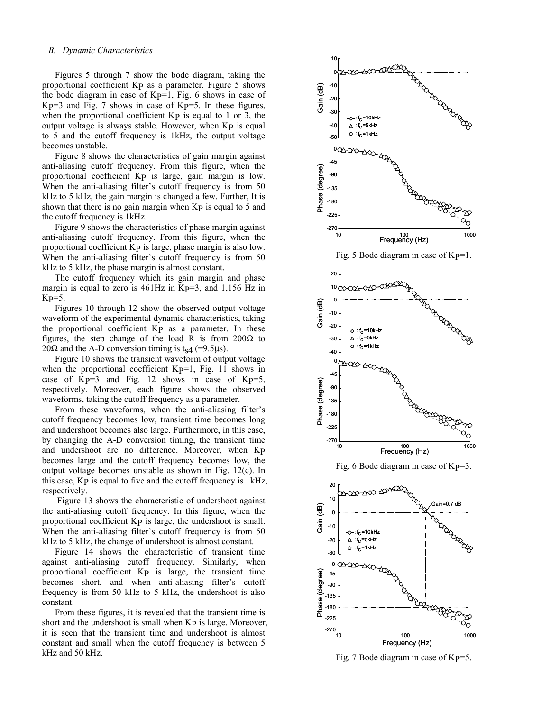#### *B. Dynamic Characteristics*

Figures 5 through 7 show the bode diagram, taking the proportional coefficient KP as a parameter. Figure 5 shows the bode diagram in case of  $Kp=1$ , Fig. 6 shows in case of  $Kp=3$  and Fig. 7 shows in case of  $Kp=5$ . In these figures, when the proportional coefficient  $Kp$  is equal to 1 or 3, the output voltage is always stable. However, when KP is equal to 5 and the cutoff frequency is 1kHz, the output voltage becomes unstable.

Figure 8 shows the characteristics of gain margin against anti-aliasing cutoff frequency. From this figure, when the proportional coefficient Kp is large, gain margin is low. When the anti-aliasing filter's cutoff frequency is from 50 kHz to 5 kHz, the gain margin is changed a few. Further, It is shown that there is no gain margin when Kp is equal to 5 and the cutoff frequency is 1kHz.

Figure 9 shows the characteristics of phase margin against anti-aliasing cutoff frequency. From this figure, when the proportional coefficient KP is large, phase margin is also low. When the anti-aliasing filter's cutoff frequency is from 50 kHz to 5 kHz, the phase margin is almost constant.

The cutoff frequency which its gain margin and phase margin is equal to zero is  $461\text{Hz}$  in Kp=3, and  $1,156$  Hz in  $Kp=5$ .

Figures 10 through 12 show the observed output voltage waveform of the experimental dynamic characteristics, taking the proportional coefficient KP as a parameter. In these figures, the step change of the load R is from 200Ω to 20 $\Omega$  and the A-D conversion timing is t<sub>s4</sub> (=9.5μs).

Figure 10 shows the transient waveform of output voltage when the proportional coefficient  $Kp=1$ , Fig. 11 shows in case of  $Kp=3$  and Fig. 12 shows in case of  $Kp=5$ , respectively. Moreover, each figure shows the observed waveforms, taking the cutoff frequency as a parameter.

From these waveforms, when the anti-aliasing filter's cutoff frequency becomes low, transient time becomes long and undershoot becomes also large. Furthermore, in this case, by changing the A-D conversion timing, the transient time and undershoot are no difference. Moreover, when KP becomes large and the cutoff frequency becomes low, the output voltage becomes unstable as shown in Fig. 12(c). In this case, KP is equal to five and the cutoff frequency is 1kHz, respectively.

 Figure 13 shows the characteristic of undershoot against the anti-aliasing cutoff frequency. In this figure, when the proportional coefficient KP is large, the undershoot is small. When the anti-aliasing filter's cutoff frequency is from 50 kHz to 5 kHz, the change of undershoot is almost constant.

Figure 14 shows the characteristic of transient time against anti-aliasing cutoff frequency. Similarly, when proportional coefficient KP is large, the transient time becomes short, and when anti-aliasing filter's cutoff frequency is from 50 kHz to 5 kHz, the undershoot is also constant.

From these figures, it is revealed that the transient time is short and the undershoot is small when Kp is large. Moreover, it is seen that the transient time and undershoot is almost constant and small when the cutoff frequency is between 5 kHz and 50 kHz.



Fig. 7 Bode diagram in case of  $Kp=5$ .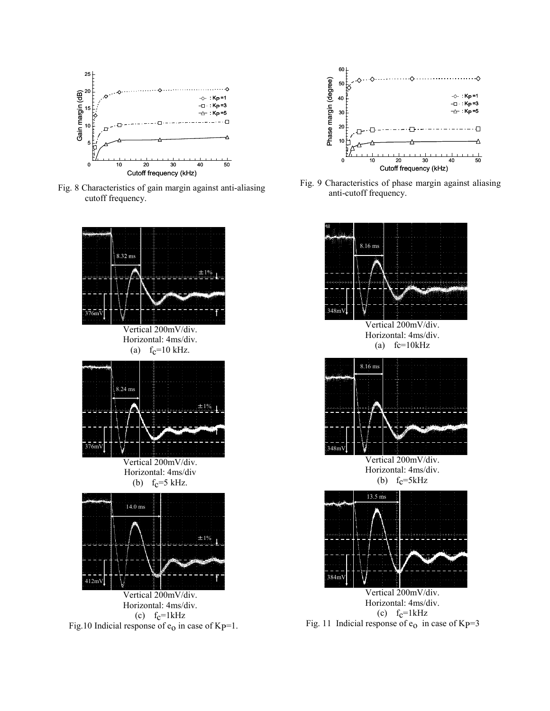

Fig. 8 Characteristics of gain margin against anti-aliasing cutoff frequency.





Fig. 9 Characteristics of phase margin against aliasing anti-cutoff frequency.